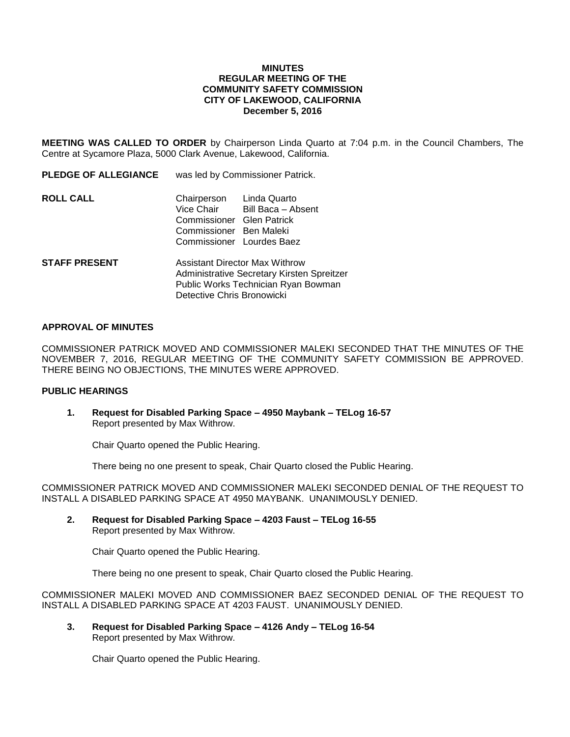## **MINUTES REGULAR MEETING OF THE COMMUNITY SAFETY COMMISSION CITY OF LAKEWOOD, CALIFORNIA December 5, 2016**

**MEETING WAS CALLED TO ORDER** by Chairperson Linda Quarto at 7:04 p.m. in the Council Chambers, The Centre at Sycamore Plaza, 5000 Clark Avenue, Lakewood, California.

| <b>PLEDGE OF ALLEGIANCE</b> | was led by Commissioner Patrick.                                                                                                                     |
|-----------------------------|------------------------------------------------------------------------------------------------------------------------------------------------------|
| ROLL CALL                   | Chairperson<br>Linda Quarto<br>Vice Chair<br>Bill Baca - Absent<br>Commissioner Glen Patrick<br>Commissioner Ben Maleki<br>Commissioner Lourdes Baez |
| <b>STAFF PRESENT</b>        | <b>Assistant Director Max Withrow</b><br>Administrative Secretary Kirsten Spreitzer<br>Public Works Technician Ryan Bowman                           |

## **APPROVAL OF MINUTES**

COMMISSIONER PATRICK MOVED AND COMMISSIONER MALEKI SECONDED THAT THE MINUTES OF THE NOVEMBER 7, 2016, REGULAR MEETING OF THE COMMUNITY SAFETY COMMISSION BE APPROVED. THERE BEING NO OBJECTIONS, THE MINUTES WERE APPROVED.

#### **PUBLIC HEARINGS**

**1. Request for Disabled Parking Space – 4950 Maybank – TELog 16-57** Report presented by Max Withrow.

Detective Chris Bronowicki

Chair Quarto opened the Public Hearing.

There being no one present to speak, Chair Quarto closed the Public Hearing.

COMMISSIONER PATRICK MOVED AND COMMISSIONER MALEKI SECONDED DENIAL OF THE REQUEST TO INSTALL A DISABLED PARKING SPACE AT 4950 MAYBANK. UNANIMOUSLY DENIED.

**2. Request for Disabled Parking Space – 4203 Faust – TELog 16-55** Report presented by Max Withrow.

Chair Quarto opened the Public Hearing.

There being no one present to speak, Chair Quarto closed the Public Hearing.

COMMISSIONER MALEKI MOVED AND COMMISSIONER BAEZ SECONDED DENIAL OF THE REQUEST TO INSTALL A DISABLED PARKING SPACE AT 4203 FAUST. UNANIMOUSLY DENIED.

**3. Request for Disabled Parking Space – 4126 Andy – TELog 16-54** Report presented by Max Withrow.

Chair Quarto opened the Public Hearing.